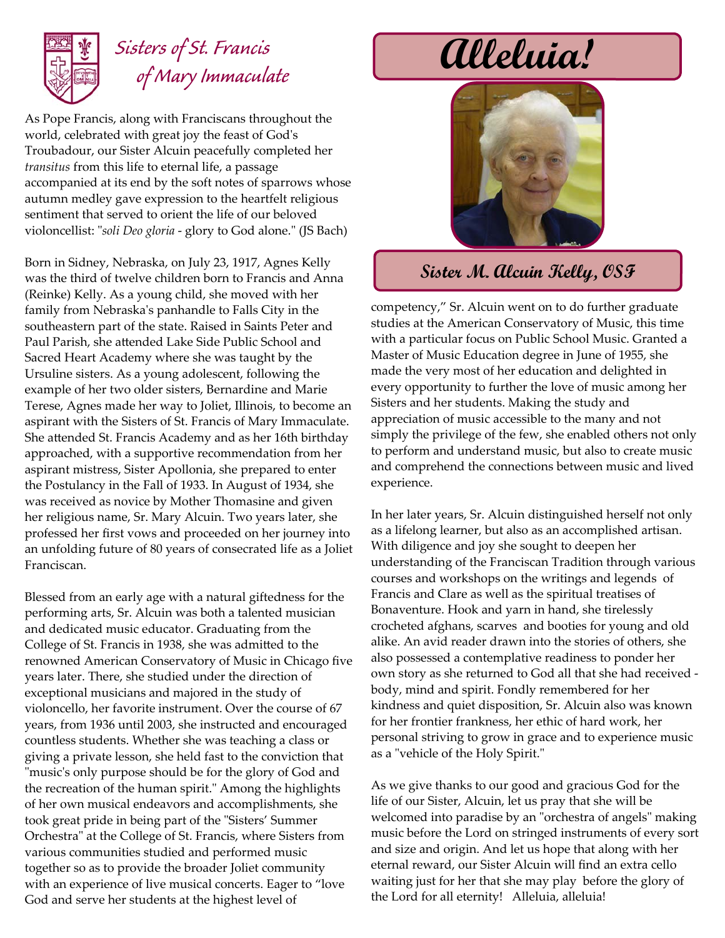

## Sisters of St. Francis **alleluia!**  *of Mary Immaculate*

As Pope Francis, along with Franciscans throughout the world, celebrated with great joy the feast of Godʹs Troubadour, our Sister Alcuin peacefully completed her *transitus* from this life to eternal life, a passage accompanied at its end by the soft notes of sparrows whose autumn medley gave expression to the heartfelt religious sentiment that served to orient the life of our beloved violoncellist: "*soli Deo gloria* - glory to God alone." (JS Bach)

Born in Sidney, Nebraska, on July 23, 1917, Agnes Kelly was the third of twelve children born to Francis and Anna (Reinke) Kelly. As a young child, she moved with her family from Nebraskaʹs panhandle to Falls City in the southeastern part of the state. Raised in Saints Peter and Paul Parish, she attended Lake Side Public School and Sacred Heart Academy where she was taught by the Ursuline sisters. As a young adolescent, following the example of her two older sisters, Bernardine and Marie Terese, Agnes made her way to Joliet, Illinois, to become an aspirant with the Sisters of St. Francis of Mary Immaculate. She attended St. Francis Academy and as her 16th birthday approached, with a supportive recommendation from her aspirant mistress, Sister Apollonia, she prepared to enter the Postulancy in the Fall of 1933. In August of 1934, she was received as novice by Mother Thomasine and given her religious name, Sr. Mary Alcuin. Two years later, she professed her first vows and proceeded on her journey into an unfolding future of 80 years of consecrated life as a Joliet Franciscan.

Blessed from an early age with a natural giftedness for the performing arts, Sr. Alcuin was both a talented musician and dedicated music educator. Graduating from the College of St. Francis in 1938, she was admitted to the renowned American Conservatory of Music in Chicago five years later. There, she studied under the direction of exceptional musicians and majored in the study of violoncello, her favorite instrument. Over the course of 67 years, from 1936 until 2003, she instructed and encouraged countless students. Whether she was teaching a class or giving a private lesson, she held fast to the conviction that ʺmusicʹs only purpose should be for the glory of God and the recreation of the human spirit." Among the highlights of her own musical endeavors and accomplishments, she took great pride in being part of the "Sisters' Summer Orchestra" at the College of St. Francis, where Sisters from various communities studied and performed music together so as to provide the broader Joliet community with an experience of live musical concerts. Eager to "love God and serve her students at the highest level of



## **Sister M. Alcuin Kelly, OSF**

competency," Sr. Alcuin went on to do further graduate studies at the American Conservatory of Music, this time with a particular focus on Public School Music. Granted a Master of Music Education degree in June of 1955, she made the very most of her education and delighted in every opportunity to further the love of music among her Sisters and her students. Making the study and appreciation of music accessible to the many and not simply the privilege of the few, she enabled others not only to perform and understand music, but also to create music and comprehend the connections between music and lived experience.

In her later years, Sr. Alcuin distinguished herself not only as a lifelong learner, but also as an accomplished artisan. With diligence and joy she sought to deepen her understanding of the Franciscan Tradition through various courses and workshops on the writings and legends of Francis and Clare as well as the spiritual treatises of Bonaventure. Hook and yarn in hand, she tirelessly crocheted afghans, scarves and booties for young and old alike. An avid reader drawn into the stories of others, she also possessed a contemplative readiness to ponder her own story as she returned to God all that she had received body, mind and spirit. Fondly remembered for her kindness and quiet disposition, Sr. Alcuin also was known for her frontier frankness, her ethic of hard work, her personal striving to grow in grace and to experience music as a "vehicle of the Holy Spirit."

As we give thanks to our good and gracious God for the life of our Sister, Alcuin, let us pray that she will be welcomed into paradise by an "orchestra of angels" making music before the Lord on stringed instruments of every sort and size and origin. And let us hope that along with her eternal reward, our Sister Alcuin will find an extra cello waiting just for her that she may play before the glory of the Lord for all eternity! Alleluia, alleluia!